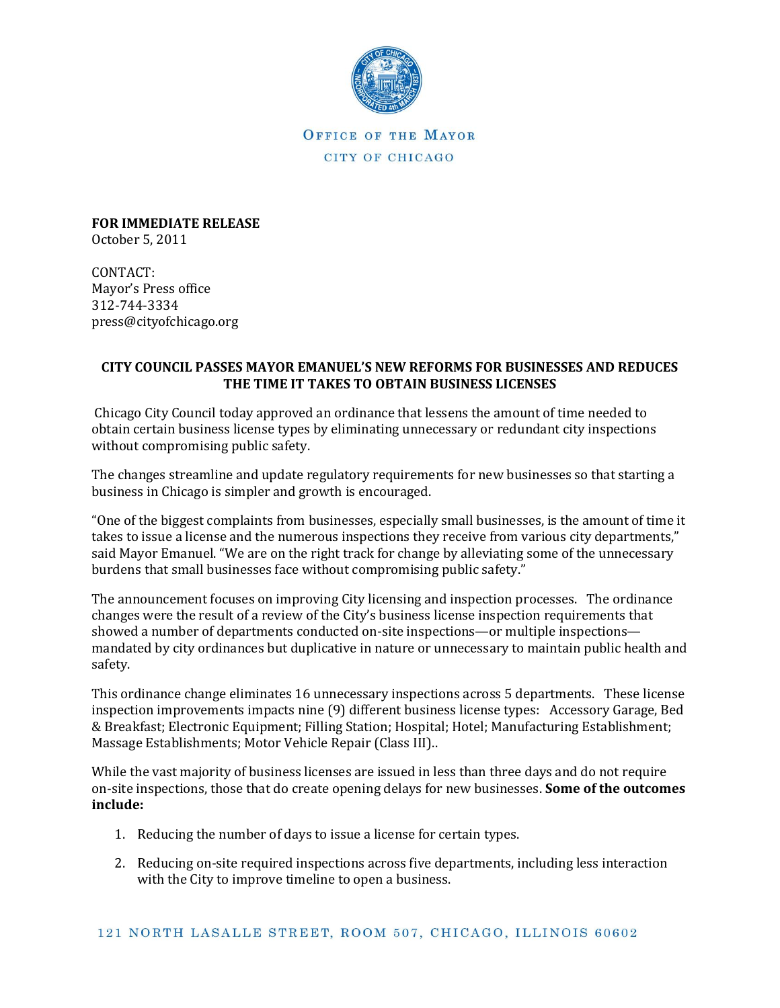

**OFFICE OF THE MAYOR** CITY OF CHICAGO

**FOR IMMEDIATE RELEASE**  October 5, 2011

CONTACT: Mayor's Press office 312-744-3334 press@cityofchicago.org

## **CITY COUNCIL PASSES MAYOR EMANUEL'S NEW REFORMS FOR BUSINESSES AND REDUCES THE TIME IT TAKES TO OBTAIN BUSINESS LICENSES**

Chicago City Council today approved an ordinance that lessens the amount of time needed to obtain certain business license types by eliminating unnecessary or redundant city inspections without compromising public safety.

The changes streamline and update regulatory requirements for new businesses so that starting a business in Chicago is simpler and growth is encouraged.

"One of the biggest complaints from businesses, especially small businesses, is the amount of time it takes to issue a license and the numerous inspections they receive from various city departments," said Mayor Emanuel. "We are on the right track for change by alleviating some of the unnecessary burdens that small businesses face without compromising public safety."

The announcement focuses on improving City licensing and inspection processes. The ordinance changes were the result of a review of the City's business license inspection requirements that showed a number of departments conducted on-site inspections—or multiple inspections mandated by city ordinances but duplicative in nature or unnecessary to maintain public health and safety.

This ordinance change eliminates 16 unnecessary inspections across 5 departments. These license inspection improvements impacts nine (9) different business license types: Accessory Garage, Bed & Breakfast; Electronic Equipment; Filling Station; Hospital; Hotel; Manufacturing Establishment; Massage Establishments; Motor Vehicle Repair (Class III)..

While the vast majority of business licenses are issued in less than three days and do not require on-site inspections, those that do create opening delays for new businesses. **Some of the outcomes include:**

- 1. Reducing the number of days to issue a license for certain types.
- 2. Reducing on-site required inspections across five departments, including less interaction with the City to improve timeline to open a business.